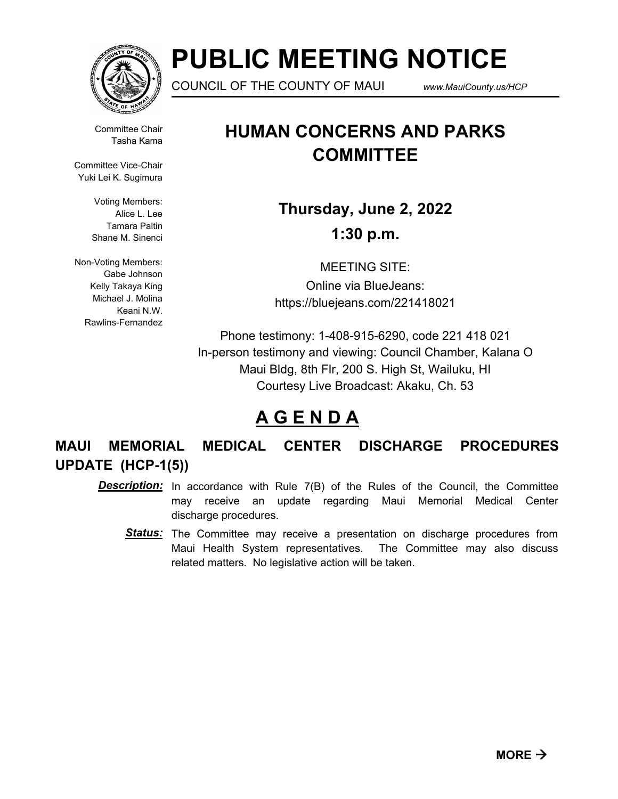

# **PUBLIC MEETING NOTICE**

COUNCIL OF THE COUNTY OF MAUI *www.MauiCounty.us/HCP*

Committee Chair Tasha Kama

Committee Vice-Chair Yuki Lei K. Sugimura

> Voting Members: Alice L. Lee Tamara Paltin Shane M. Sinenci

Non-Voting Members: Gabe Johnson Kelly Takaya King Michael J. Molina Keani N.W. Rawlins-Fernandez

## **HUMAN CONCERNS AND PARKS COMMITTEE**

**Thursday, June 2, 2022 1:30 p.m.**

MEETING SITE: Online via BlueJeans: https://bluejeans.com/221418021

Phone testimony: 1-408-915-6290, code 221 418 021 In-person testimony and viewing: Council Chamber, Kalana O Maui Bldg, 8th Flr, 200 S. High St, Wailuku, HI Courtesy Live Broadcast: Akaku, Ch. 53

### **A G E N D A**

**MAUI MEMORIAL MEDICAL CENTER DISCHARGE PROCEDURES UPDATE (HCP-1(5))**

- **Description:** In accordance with Rule 7(B) of the Rules of the Council, the Committee may receive an update regarding Maui Memorial Medical Center discharge procedures.
	- Status: The Committee may receive a presentation on discharge procedures from Maui Health System representatives. The Committee may also discuss related matters. No legislative action will be taken.